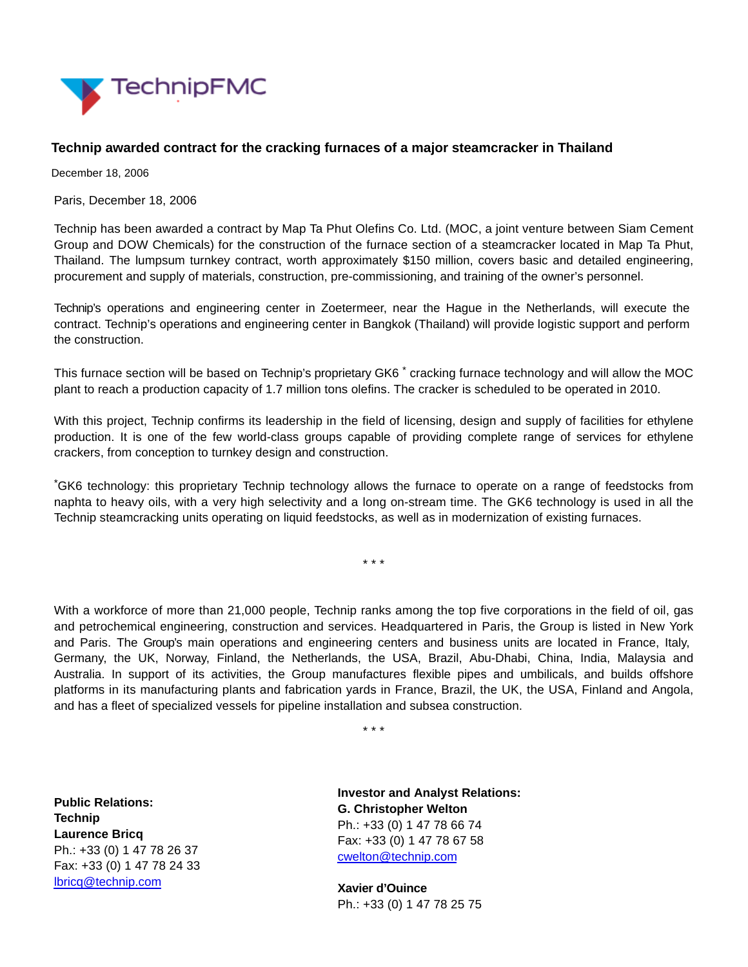

## **Technip awarded contract for the cracking furnaces of a major steamcracker in Thailand**

December 18, 2006

Paris, December 18, 2006

Technip has been awarded a contract by Map Ta Phut Olefins Co. Ltd. (MOC, a joint venture between Siam Cement Group and DOW Chemicals) for the construction of the furnace section of a steamcracker located in Map Ta Phut, Thailand. The lumpsum turnkey contract, worth approximately \$150 million, covers basic and detailed engineering, procurement and supply of materials, construction, pre-commissioning, and training of the owner's personnel.

Technip's operations and engineering center in Zoetermeer, near the Hague in the Netherlands, will execute the contract. Technip's operations and engineering center in Bangkok (Thailand) will provide logistic support and perform the construction.

This furnace section will be based on Technip's proprietary GK6<sup>\*</sup> cracking furnace technology and will allow the MOC plant to reach a production capacity of 1.7 million tons olefins. The cracker is scheduled to be operated in 2010.

With this project, Technip confirms its leadership in the field of licensing, design and supply of facilities for ethylene production. It is one of the few world-class groups capable of providing complete range of services for ethylene crackers, from conception to turnkey design and construction.

\*GK6 technology: this proprietary Technip technology allows the furnace to operate on a range of feedstocks from naphta to heavy oils, with a very high selectivity and a long on-stream time. The GK6 technology is used in all the Technip steamcracking units operating on liquid feedstocks, as well as in modernization of existing furnaces.

\* \* \*

With a workforce of more than 21,000 people, Technip ranks among the top five corporations in the field of oil, gas and petrochemical engineering, construction and services. Headquartered in Paris, the Group is listed in New York and Paris. The Group's main operations and engineering centers and business units are located in France, Italy, Germany, the UK, Norway, Finland, the Netherlands, the USA, Brazil, Abu-Dhabi, China, India, Malaysia and Australia. In support of its activities, the Group manufactures flexible pipes and umbilicals, and builds offshore platforms in its manufacturing plants and fabrication yards in France, Brazil, the UK, the USA, Finland and Angola, and has a fleet of specialized vessels for pipeline installation and subsea construction.

\* \* \*

**Public Relations: Technip Laurence Bricq** Ph.: +33 (0) 1 47 78 26 37 Fax: +33 (0) 1 47 78 24 33 [lbricq@technip.com](mailto:lbricq@technip.com)

**Investor and Analyst Relations: G. Christopher Welton** Ph.: +33 (0) 1 47 78 66 74 Fax: +33 (0) 1 47 78 67 58 [cwelton@technip.com](mailto:daguez@technip.com)

**Xavier d'Ouince** Ph.: +33 (0) 1 47 78 25 75